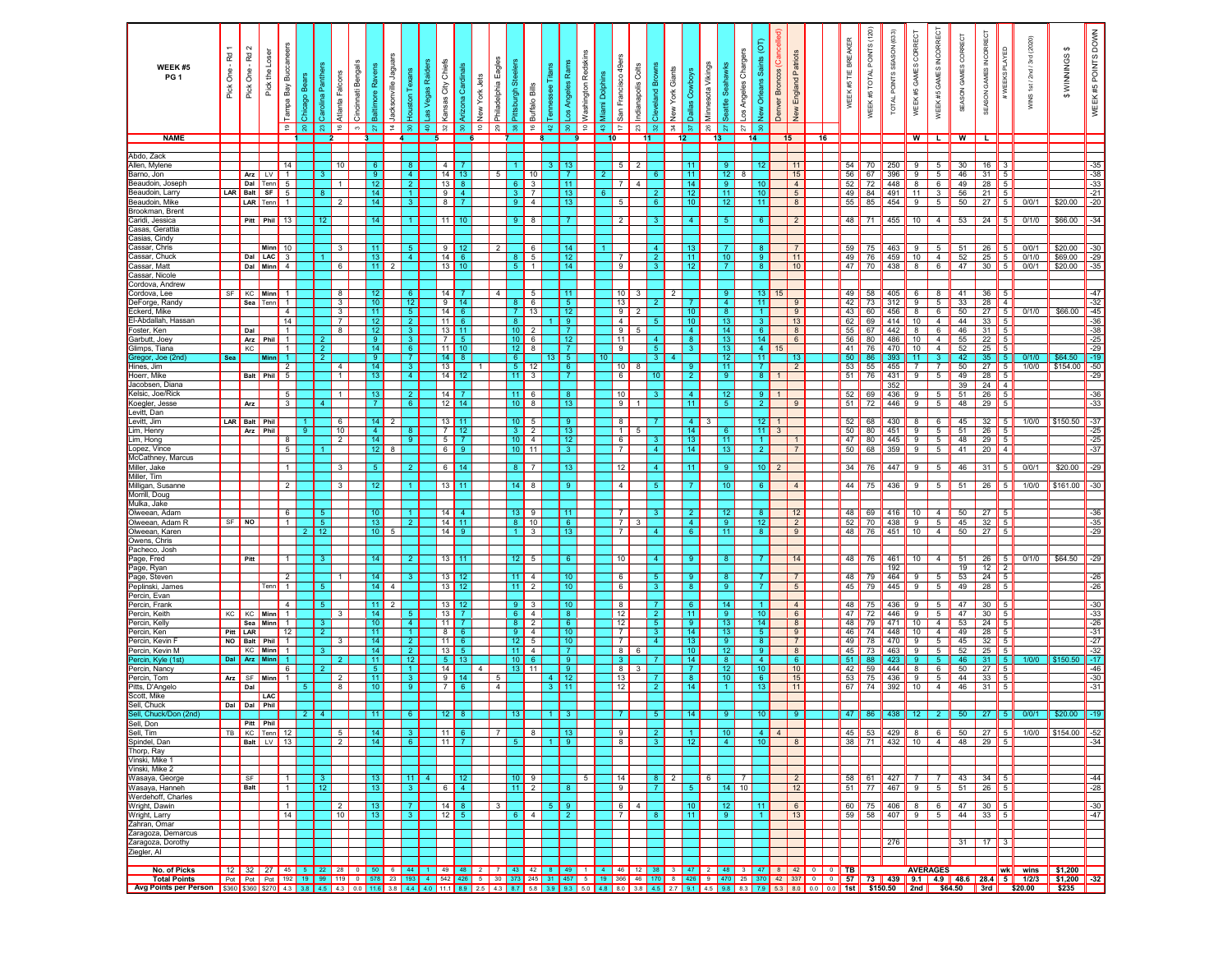| WEEK #5<br>PG <sub>1</sub>                  | Pick One - Rd | Pick One - Rd 2             | Pick the Loser              | Tampa Bay Buccaneers<br>$\frac{6}{5}$ | Chicago Bea<br>$\approx$ 1 | Carolina Pant<br>$\mathbb{S}^2$ | Atlanta Falcons<br>$\frac{6}{5}$ | Cincinnati Bengals<br>$\mathfrak{S}$ | Baltimore Ravens<br>$\overline{z}$ | Jacksonville Jagua<br>$\sharp$ | louston Texans<br>$\approx$      | as Vegas Raiders<br>ę. | City Chiefs<br>Cardir<br>Arizona<br>Kansas<br>$\approx$ | <b>New York Jets</b><br>$\epsilon$<br>$\mathbf{S}$ | Philadelphia Eagles<br>$^{29}$ | Pittsburgh Ste<br>$\approx$ 1      | Buffalo Bills<br>$\frac{6}{5}$   | ennessee<br>$\mathbf{N}$ | os Angeles Rams<br>ន               | Washington Redskins<br>$\frac{1}{2}$ | Viami Dolp<br>$\mathfrak{p}$ | San Francisco 49er<br>÷          | Indianapolis Colts<br>23 | Cleveland Brown<br>있.            | New York Giants<br>रू | Minnesota Vikings<br>Dallas Cowboys<br>$5\%$ | 26  | Chargers<br>Seattle Seahawks<br>Los Angeles<br>$\overline{z}$<br>$\overline{z}$ | þ<br>Saints<br>Orleans<br><b>Jew</b> | Denver Broncos (Car | England Patriots<br>New |                                                                                                     | WEEK #5 TIE BREAKER | WEEK #5 TOTAL POINTS (120) | TOTAL POINTS SEASON (633) | WEEK #5 GAMES CORRECT | WEEK #5 GAMES INCORRECT           | GAMES CORRECT<br>SEASON | SEASON GAMES INCORRECT | #WEEKS PLAYED                | (2020)<br>WINS 1st/2nd/3rd                                                                                                                                                                                                                        | \$<br>WINNINGS<br>\$ | WEEK #5 POINTS DOWN                                         |
|---------------------------------------------|---------------|-----------------------------|-----------------------------|---------------------------------------|----------------------------|---------------------------------|----------------------------------|--------------------------------------|------------------------------------|--------------------------------|----------------------------------|------------------------|---------------------------------------------------------|----------------------------------------------------|--------------------------------|------------------------------------|----------------------------------|--------------------------|------------------------------------|--------------------------------------|------------------------------|----------------------------------|--------------------------|----------------------------------|-----------------------|----------------------------------------------|-----|---------------------------------------------------------------------------------|--------------------------------------|---------------------|-------------------------|-----------------------------------------------------------------------------------------------------|---------------------|----------------------------|---------------------------|-----------------------|-----------------------------------|-------------------------|------------------------|------------------------------|---------------------------------------------------------------------------------------------------------------------------------------------------------------------------------------------------------------------------------------------------|----------------------|-------------------------------------------------------------|
| <b>NAME</b>                                 |               |                             |                             |                                       |                            | $\overline{2}$                  |                                  |                                      |                                    |                                |                                  | 5                      |                                                         |                                                    |                                |                                    |                                  |                          |                                    |                                      | 10                           |                                  |                          |                                  | 12                    |                                              | 13  |                                                                                 | 14                                   |                     | 15                      | 16                                                                                                  |                     |                            |                           | W                     | $\mathbf{L}$                      | W                       | $\overline{L}$         |                              |                                                                                                                                                                                                                                                   |                      |                                                             |
| Abdo, Zack                                  |               |                             |                             |                                       |                            |                                 |                                  |                                      |                                    |                                |                                  |                        |                                                         |                                                    |                                |                                    |                                  |                          |                                    |                                      |                              |                                  |                          |                                  |                       |                                              |     |                                                                                 |                                      |                     |                         |                                                                                                     |                     |                            |                           |                       |                                   |                         |                        |                              |                                                                                                                                                                                                                                                   |                      |                                                             |
| Allen, Mylene<br>Barno, Jon                 |               | Arz                         | LV                          | 14                                    |                            | -3                              | 10                               |                                      | $6^{\circ}$<br>9                   |                                | 4 <sup>1</sup>                   |                        | $\overline{4}$<br>14                                    | 13                                                 | 5                              |                                    | 10                               |                          |                                    |                                      |                              | 5                                | $\overline{2}$           | 6                                |                       | $-11$                                        |     | 12 <sub>2</sub><br>8                                                            | 12                                   |                     | 11<br>15                |                                                                                                     | 54<br>56            | 70<br>67                   | 250<br>396                | 9<br>9                | 5<br>5                            | 30<br>46                | 16<br>31               | 5                            |                                                                                                                                                                                                                                                   |                      | $-35$<br>$-38$                                              |
| Beaudoin, Josep                             |               | Dal                         | Tenn                        | 5                                     |                            |                                 |                                  |                                      | 12                                 |                                |                                  |                        | 13<br><b>B</b>                                          |                                                    |                                | 6.                                 | 3                                |                          | 11                                 |                                      |                              | 7                                | $\overline{4}$           |                                  |                       | 14                                           |     |                                                                                 | 10                                   |                     | $\overline{4}$          |                                                                                                     | 52                  | 72                         | 448                       | 8                     | 6                                 | 49                      | 28                     | 5                            |                                                                                                                                                                                                                                                   |                      | $-33$                                                       |
| Beaudoin, Larry<br>Beaudoin, Mike           | LAR           | Balt SF<br>LAR Tenn         |                             | 5                                     |                            |                                 | 2                                |                                      | 14<br>14                           |                                | $\mathbf{1}$                     |                        | 9<br>8                                                  | $\overline{4}$                                     |                                | 3 <sup>1</sup><br>9 <sup>1</sup>   | $\overline{7}$<br>$\overline{4}$ |                          | 13 <sup>°</sup><br>13              |                                      |                              | -5                               |                          | -2<br>-6                         |                       | 12<br>10 <sub>1</sub>                        |     | 11<br>12 <sub>2</sub>                                                           | 10 <sup>°</sup><br>11                |                     | $5\overline{)}$<br>8    |                                                                                                     | 49<br>55            | 84<br>85                   | 491<br>454                | 11<br>9               | $\mathbf{3}$<br>5                 | 56<br>50                | 21<br>27               | 5<br>5                       | 0/0/1                                                                                                                                                                                                                                             | \$20.00              | $-21$<br>$-20$                                              |
| Brookman, Brent                             |               |                             |                             |                                       |                            |                                 |                                  |                                      |                                    |                                |                                  |                        |                                                         |                                                    |                                |                                    |                                  |                          |                                    |                                      |                              |                                  |                          |                                  |                       |                                              |     |                                                                                 |                                      |                     |                         |                                                                                                     |                     |                            |                           |                       |                                   |                         |                        |                              |                                                                                                                                                                                                                                                   |                      |                                                             |
| Caridi, Jessica<br>Casas, Gerattia          |               |                             | Pitt Phil 13                |                                       |                            | -12                             |                                  |                                      | 14                                 |                                |                                  |                        | $11$ 10                                                 |                                                    |                                | -91                                | 8                                |                          |                                    |                                      |                              | $\overline{2}$                   |                          |                                  |                       | $\overline{4}$                               |     |                                                                                 | -6                                   |                     | $\overline{2}$          |                                                                                                     | 48                  | 71                         | 455                       | 10                    | $\overline{4}$                    | 53                      | 24                     | $\vert 5 \vert$              | 0/1/0                                                                                                                                                                                                                                             | \$66.00              | $-34$                                                       |
| Casias, Cindy                               |               |                             |                             |                                       |                            |                                 |                                  |                                      |                                    |                                |                                  |                        |                                                         |                                                    |                                |                                    |                                  |                          |                                    |                                      |                              |                                  |                          |                                  |                       |                                              |     |                                                                                 |                                      |                     |                         |                                                                                                     |                     |                            |                           |                       |                                   |                         |                        |                              |                                                                                                                                                                                                                                                   |                      |                                                             |
| Cassar, Chris<br>Cassar, Chuck              |               |                             | Minn<br>Dal LAC             | 10<br>$\overline{\mathbf{3}}$         |                            |                                 | 3                                |                                      | 11<br>13                           |                                | 5 <sub>1</sub><br>4 <sup>1</sup> |                        | 9<br>14<br>- 6                                          | 12                                                 | $\overline{2}$                 |                                    | 6<br>$5\overline{)}$             |                          | 14<br>12 <sup>°</sup>              |                                      |                              | 7                                |                          | -4<br>2 <sup>2</sup>             |                       | 13<br>11 <sub>1</sub>                        |     | 10 <sup>°</sup>                                                                 | -8<br>9 <sup>°</sup>                 |                     | $\overline{7}$<br>11    |                                                                                                     | 59<br>49            | 75<br>76                   | 463<br>459                | 9<br>10               | 5<br>$\overline{4}$               | 51<br>52                | 26<br>25               | -5<br>5                      | 0/0/1<br>0/1/0                                                                                                                                                                                                                                    | \$20.00<br>\$69.00   | $-30$<br>$-29$                                              |
| Cassar, Matt                                |               | Dal Minn                    |                             | $\overline{4}$                        |                            |                                 | 6                                |                                      | 11 <sup>1</sup>                    |                                |                                  |                        | 13                                                      |                                                    |                                | 8 <sup>1</sup><br>5 <sub>1</sub>   | $\mathbf{1}$                     |                          | 14 <sup>1</sup>                    |                                      |                              | $\overline{9}$                   |                          |                                  |                       | 12                                           |     |                                                                                 | 8.                                   |                     | 10                      |                                                                                                     | 47                  | 70                         | 438                       | 8                     | 6                                 | 47                      | 30                     | 5                            | 0/0/1                                                                                                                                                                                                                                             | \$20.00              | $-35$                                                       |
| Cassar, Nicole                              |               |                             |                             |                                       |                            |                                 |                                  |                                      |                                    |                                |                                  |                        |                                                         |                                                    |                                |                                    |                                  |                          |                                    |                                      |                              |                                  |                          |                                  |                       |                                              |     |                                                                                 |                                      |                     |                         |                                                                                                     |                     |                            |                           |                       |                                   |                         |                        |                              |                                                                                                                                                                                                                                                   |                      |                                                             |
| Cordova, Andrew<br>Cordova, Lee             | SF            | KC Minn                     |                             |                                       |                            |                                 | -8                               |                                      | 12 <sub>2</sub>                    |                                | -6                               |                        | 14                                                      |                                                    |                                |                                    | 5                                |                          | 11 <sup>1</sup>                    |                                      |                              | 10                               |                          |                                  |                       |                                              |     | -9                                                                              | 13                                   |                     |                         |                                                                                                     | 49                  | 58                         | 405                       | 6                     | 8                                 | 41                      | 36                     |                              |                                                                                                                                                                                                                                                   |                      | -47                                                         |
| eForge, Randy                               |               | Sea Tenn                    |                             | $\mathbf{1}$                          |                            |                                 | 3                                |                                      | 10 <sub>1</sub>                    |                                | 12                               |                        | 9                                                       | 14                                                 |                                | 8                                  | 6                                |                          | 5 <sub>1</sub>                     |                                      |                              | 13                               |                          |                                  |                       | -7                                           |     | $\overline{4}$                                                                  | 11                                   |                     | 9                       |                                                                                                     | 42                  | 73                         | 312                       | 9                     | 5                                 | 33                      | 28                     | $\overline{4}$               |                                                                                                                                                                                                                                                   |                      | $-32$                                                       |
| ckerd, Mike<br>El-Abdallah, Hassan          |               |                             |                             | $\overline{4}$<br>14                  |                            |                                 | 3<br>$\overline{7}$              |                                      | 11<br>12                           |                                | 5 <sub>1</sub><br>2 <sup>7</sup> |                        | 14<br>$11$ 6                                            | 6 <sup>6</sup>                                     |                                | -7 I<br>-8                         | 13                               |                          | 12<br>9                            |                                      |                              | 9<br>$\overline{4}$              |                          |                                  |                       | 10<br>10                                     |     | 8 <sup>8</sup><br>13                                                            | $\mathbf{1}$<br>3 <sup>°</sup>       |                     | 9<br>13                 |                                                                                                     | 43<br>62            | 60<br>69                   | 456<br>414                | 8<br>10 <sub>1</sub>  | 6<br>$\overline{4}$               | 50<br>44                | 27<br>33               | 5<br>5                       | 0/1/0                                                                                                                                                                                                                                             | \$66.00              | $-45$                                                       |
| <sup>:</sup> oster, Ken                     |               | Dal                         |                             | $\overline{1}$                        |                            |                                 | 8                                |                                      | 12                                 |                                | 3 <sup>7</sup>                   |                        | 13<br>11                                                |                                                    |                                | 10 <sup>°</sup>                    |                                  |                          |                                    |                                      |                              | 9                                |                          |                                  |                       | $\overline{4}$                               |     | 14                                                                              | $6^{\circ}$                          |                     | 8                       |                                                                                                     | 55                  | 67                         | 442                       | 8                     | 6                                 | 46                      | 31                     | 5                            |                                                                                                                                                                                                                                                   |                      | $-36$<br>$-38$<br>$-25$                                     |
| Garbutt, Joey<br>Glimps, Tiana              |               | Arz Phil<br>KC              |                             | $\overline{1}$<br>$\overline{1}$      |                            | $\overline{2}$                  |                                  |                                      | $9^{\circ}$<br>14                  |                                | 3 <sup>1</sup><br>6 <sup>1</sup> |                        | $\overline{7}$<br>$\overline{11}$<br>$ 10\rangle$       | - 5                                                |                                | 10 <sub>1</sub><br>12              | 6<br>8                           |                          | 12                                 |                                      |                              | 11<br>9                          |                          | -5.                              |                       | $\overline{\mathbf{8}}$<br>$\mathbf{3}$      |     | 13<br>13                                                                        | 14<br>$\overline{4}$                 |                     | $6\overline{6}$         |                                                                                                     | 56<br>41            | 80<br>76                   | 486<br>470                | 10<br>10              | $\overline{4}$<br>$\overline{4}$  | 55<br>52                | 22<br>25               | 5<br>5                       |                                                                                                                                                                                                                                                   |                      | $-29$                                                       |
| Gregor, Joe (2nc                            | Sea           |                             | Minn                        |                                       |                            | $\overline{2}$                  |                                  |                                      | $\overline{9}$                     |                                | 7 <sup>7</sup>                   |                        | 14                                                      | 8 <sup>1</sup>                                     |                                | $6 \mid$                           |                                  |                          | 5 <sub>1</sub>                     |                                      |                              |                                  |                          | $\overline{3}$                   |                       |                                              |     | 12                                                                              | 11                                   |                     | 13                      |                                                                                                     | 50                  | 86                         | 393                       | 11                    | $\overline{3}$                    | 42                      | 35                     | $5\phantom{.0}$              | 0/1/0                                                                                                                                                                                                                                             | \$64.50              | $-19$                                                       |
| Hines, Jim                                  |               |                             |                             | $\overline{2}$                        |                            |                                 | $\overline{4}$                   |                                      | 14                                 |                                | $\overline{\phantom{a}}$         |                        | 13                                                      | 1                                                  |                                | 5 <sup>1</sup>                     | 12                               |                          | 6 <sup>1</sup>                     |                                      |                              | 10                               | 8                        | 10                               |                       | $\overline{9}$                               |     | $-11$<br>9                                                                      | $\overline{7}$                       |                     | $\overline{2}$          |                                                                                                     | 53                  | 55                         | 455                       | $\overline{7}$        | $\overline{7}$                    | 50                      |                        | $27$ 5                       | 1/0/0                                                                                                                                                                                                                                             | \$154.00             | $-50$                                                       |
| Hoerr, Mike<br>Jacobsen, Diana              |               | <b>Balt</b> Phil            |                             | $5\overline{)}$                       |                            |                                 | $\mathbf{1}$                     |                                      | 13                                 |                                | $\overline{4}$                   |                        | 14                                                      |                                                    |                                | 11                                 | 3                                |                          | $\overline{7}$                     |                                      |                              | 6                                |                          |                                  |                       | $\overline{2}$                               |     |                                                                                 | 8 <sup>1</sup>                       |                     |                         |                                                                                                     | 51                  | 76                         | 431<br>352                | 9                     | $5\overline{)}$                   | 49<br>39                | 28<br>24               | $\sqrt{5}$<br>$\overline{4}$ |                                                                                                                                                                                                                                                   |                      | $-29$                                                       |
| Kelsic, Joe/Rick                            |               |                             |                             | 5                                     |                            |                                 | $\overline{1}$                   |                                      | 13                                 |                                | 2 <sup>7</sup>                   |                        | 14                                                      |                                                    |                                | 11                                 | 6                                |                          |                                    |                                      |                              | 10                               |                          |                                  |                       | $\overline{4}$                               |     | 12                                                                              | -9                                   |                     |                         |                                                                                                     | 52                  | 69                         | 436                       | 9                     | 5                                 | 51                      | 26                     | 5                            |                                                                                                                                                                                                                                                   |                      | $-36$                                                       |
| Koegler, Jesse<br>Levitt, Dar               |               | Arz                         |                             | 3                                     |                            | $\overline{4}$                  |                                  |                                      | $\overline{7}$                     |                                | 6 <sup>1</sup>                   |                        | 12                                                      |                                                    |                                | 10 <sup>°</sup>                    | 8                                |                          | 13                                 |                                      |                              | 9                                |                          |                                  |                       | 11                                           |     | 5                                                                               | $\overline{2}$                       |                     | 9                       |                                                                                                     | 51                  | 72                         | 446                       | 9                     | 5                                 | 48                      | 29                     | 5                            |                                                                                                                                                                                                                                                   |                      | $-33$                                                       |
| evitt, Jim                                  | LAR           | <b>Balt</b>                 | Phil                        |                                       |                            |                                 | - 6                              |                                      | 14                                 |                                |                                  |                        | 13                                                      |                                                    |                                | 10 <sup>1</sup>                    | 5                                |                          | -9                                 |                                      |                              | 8                                |                          |                                  |                       | 4 <sup>1</sup>                               |     |                                                                                 | 12 <sub>2</sub>                      |                     |                         |                                                                                                     | 52                  | 68                         | 430                       | 8                     | 6                                 | 45                      | 32                     |                              | 1/0/0                                                                                                                                                                                                                                             | \$150.50             | $-37$                                                       |
| Lim, Henry<br>Lim, Hong                     |               | Arz                         | Phil                        |                                       | 9 <sup>1</sup>             |                                 | 10<br>$\overline{2}$             |                                      | $\overline{4}$<br>14               |                                | -9.                              |                        | $\overline{7}$<br>5 <sup>5</sup>                        | 12                                                 |                                | 3 <sup>1</sup><br>10 <sup>1</sup>  | $\overline{c}$<br>$\overline{4}$ |                          | 13 <sup>°</sup><br>12 <sup>7</sup> |                                      |                              | $\mathbf{1}$<br>6                |                          |                                  |                       | 14<br>$-13$                                  |     | -6<br>11                                                                        | 11 <sup>1</sup><br>$\blacksquare$    |                     |                         |                                                                                                     | 50<br>47            | 80<br>80                   | 451<br>445                | 9<br>9                | 5<br>5                            | 51<br>48                | 26<br>29               | -5<br>$\vert 5 \vert$        |                                                                                                                                                                                                                                                   |                      | $-25$<br>$-25$                                              |
| Lopez, Vince                                |               |                             |                             | 5                                     |                            |                                 |                                  |                                      | 12                                 |                                |                                  |                        | 6 <sup>1</sup><br>- 91                                  |                                                    |                                | 10 <sup>1</sup>                    | 11                               |                          | -3.                                |                                      |                              | $\overline{7}$                   |                          | $\overline{4}$                   |                       | 14                                           |     | -13                                                                             | -2.                                  |                     | $\overline{7}$          |                                                                                                     | 50                  | 68                         | 359                       | 9                     | 5                                 | 41                      | 20                     | $\overline{4}$               |                                                                                                                                                                                                                                                   |                      | $-37$                                                       |
| McCathney, Marcus                           |               |                             |                             |                                       |                            |                                 |                                  |                                      |                                    |                                |                                  |                        |                                                         |                                                    |                                |                                    |                                  |                          |                                    |                                      |                              |                                  |                          |                                  |                       |                                              |     |                                                                                 |                                      |                     |                         |                                                                                                     |                     |                            |                           |                       |                                   |                         |                        |                              |                                                                                                                                                                                                                                                   |                      |                                                             |
| Miller, Jake<br>Miller, Tim                 |               |                             |                             | $\overline{1}$                        |                            |                                 | -3                               |                                      | -5.                                |                                | -2.                              |                        | 6 <sup>1</sup><br>- 14                                  |                                                    |                                | -81                                | 7                                |                          | -13.                               |                                      |                              | 12                               |                          | -4                               |                       | $-11$                                        | -91 |                                                                                 | 10 <sup>1</sup>                      | $\mathcal{L}$       |                         |                                                                                                     | 34                  | 76                         | 447                       | 9                     | 5                                 | 46                      | 31                     | -5                           | 0/0/1                                                                                                                                                                                                                                             | \$20.00              | -29                                                         |
| Milligan, Susanne                           |               |                             |                             | $\overline{2}$                        |                            |                                 | 3                                |                                      | 12 <sub>2</sub>                    |                                |                                  |                        | 13<br>11                                                |                                                    |                                | 14                                 | 8                                |                          | -9                                 |                                      |                              | $\overline{4}$                   |                          | 5.                               |                       | 7                                            |     | 10 <sup>°</sup>                                                                 | 6                                    |                     | 4                       |                                                                                                     | 44                  | 75                         | 436                       | 9                     | 5                                 | 51                      | 26                     | -5                           | 1/0/0                                                                                                                                                                                                                                             | \$161.00             | $-30$                                                       |
| Morrill, Doug<br>Mulka, Jake                |               |                             |                             |                                       |                            |                                 |                                  |                                      |                                    |                                |                                  |                        |                                                         |                                                    |                                |                                    |                                  |                          |                                    |                                      |                              |                                  |                          |                                  |                       |                                              |     |                                                                                 |                                      |                     |                         |                                                                                                     |                     |                            |                           |                       |                                   |                         |                        |                              |                                                                                                                                                                                                                                                   |                      |                                                             |
| Olweean, Adam                               |               |                             |                             | 6                                     |                            | 5 <sub>1</sub>                  |                                  |                                      | 10 <sup>1</sup>                    |                                |                                  |                        | 14                                                      | $\overline{4}$                                     |                                | 13                                 | 9                                |                          | 11                                 |                                      |                              | $\overline{7}$                   |                          |                                  |                       | $\mathbf{2}$                                 |     | 12                                                                              | 8 <sup>1</sup>                       |                     | 12                      |                                                                                                     | 48                  | 69                         | 416                       | 10                    | $\overline{4}$                    | 50                      | 27                     | -5                           |                                                                                                                                                                                                                                                   |                      | $-36$                                                       |
| Olweean, Adam R<br>Olweean, Karen           | SF            | NO                          |                             | $\overline{1}$                        | 21                         | 5 <sub>5</sub><br>12            |                                  |                                      | 13 <sup>1</sup><br>10 <sup>1</sup> |                                | 2 <sup>7</sup>                   |                        | 14<br>14<br>-9                                          | 11                                                 |                                | 8<br>-1 I                          | 10<br>3                          |                          | -6<br>13                           |                                      |                              | $\overline{7}$<br>$\overline{7}$ | -3                       |                                  |                       | 4 <sup>1</sup><br>$6^{\circ}$                |     | -9<br>11                                                                        | 12<br>8.                             |                     | $\overline{2}$<br>9     |                                                                                                     | 52<br>48            | 70<br>76                   | 438<br>451                | 9<br>10               | 5 <sup>5</sup><br>4               | 45<br>50                | 32<br>27               | I 5<br>5                     |                                                                                                                                                                                                                                                   |                      | $-35$<br>$-29$                                              |
| Owens, Chris                                |               |                             |                             |                                       |                            |                                 |                                  |                                      |                                    |                                |                                  |                        |                                                         |                                                    |                                |                                    |                                  |                          |                                    |                                      |                              |                                  |                          |                                  |                       |                                              |     |                                                                                 |                                      |                     |                         |                                                                                                     |                     |                            |                           |                       |                                   |                         |                        |                              |                                                                                                                                                                                                                                                   |                      |                                                             |
| Pacheco, Josh                               |               |                             |                             |                                       |                            |                                 |                                  |                                      |                                    |                                |                                  |                        |                                                         |                                                    |                                |                                    |                                  |                          |                                    |                                      |                              |                                  |                          |                                  |                       |                                              |     |                                                                                 |                                      |                     |                         |                                                                                                     |                     |                            |                           |                       |                                   |                         |                        |                              |                                                                                                                                                                                                                                                   | \$64.50              |                                                             |
| Page, Fred<br>Page, Ryan                    |               | Pitt                        |                             |                                       |                            |                                 |                                  |                                      | 14                                 |                                |                                  |                        | 13                                                      |                                                    |                                | 12 <sup>2</sup>                    | -5                               |                          |                                    |                                      |                              | 10                               |                          |                                  |                       | 9                                            |     |                                                                                 |                                      |                     | 14                      |                                                                                                     | 48                  | 76                         | 461<br>192                | 10 <sup>10</sup>      | $\overline{4}$                    | 51<br>19                | 26<br>12               | 5<br>$\overline{2}$          | 0/1/0                                                                                                                                                                                                                                             |                      | $-29$                                                       |
| <sup>o</sup> age, Stever                    |               |                             |                             | $\overline{2}$                        |                            |                                 |                                  |                                      | 14                                 |                                |                                  |                        | 13                                                      |                                                    |                                | 11 <sup>1</sup>                    | $\overline{4}$                   |                          |                                    |                                      |                              | 6                                |                          | -5                               |                       | 9                                            |     | -8                                                                              |                                      |                     | $\overline{7}$          |                                                                                                     | 48                  | 79                         | 464                       | 9                     | 5                                 | 53                      | 24                     | $\sqrt{5}$                   |                                                                                                                                                                                                                                                   |                      | $-26$                                                       |
| Peplinski, Jame<br><sup>p</sup> ercin, Evan |               |                             | Tenn                        | $\overline{1}$                        |                            | 5                               |                                  |                                      | 14                                 |                                |                                  |                        | 13                                                      | 12                                                 |                                | 11                                 | $\overline{2}$                   |                          | 10 <sub>1</sub>                    |                                      |                              | $6\overline{6}$                  |                          | $\overline{3}$                   |                       | $\overline{\mathbf{8}}$                      |     | -9                                                                              | $\overline{7}$                       |                     | $5\overline{)}$         |                                                                                                     | 45                  | 79                         | 445                       | $\overline{9}$        | 5                                 | 49                      | 28                     | 5                            |                                                                                                                                                                                                                                                   |                      | $-26$                                                       |
| <sup>⊃</sup> ercin, Frank                   |               |                             |                             | $\overline{4}$                        |                            | -5                              |                                  |                                      | 11                                 |                                |                                  |                        | 13                                                      |                                                    |                                | 9 <sup>1</sup>                     | 3                                |                          |                                    |                                      |                              | $\overline{\mathbf{8}}$          |                          | $\overline{7}$                   |                       | $\overline{6}$                               |     | 14                                                                              | $-1$                                 |                     | $\overline{4}$          |                                                                                                     | 48                  | 75                         | 436                       | 9                     | -5                                | 47                      | 30                     | 5                            |                                                                                                                                                                                                                                                   |                      | $-30$                                                       |
| Percin, Keith<br>Percin, Kelly              | KC.           | KC Minn<br>Sea Minn         |                             | $\mathbf{1}$                          |                            | $\overline{\mathbf{3}}$         |                                  |                                      | 14<br>10 <sub>1</sub>              |                                |                                  |                        | 13<br>11                                                |                                                    |                                | $6 \mid$<br>8 <sup>1</sup>         | $\overline{4}$<br>$\overline{2}$ |                          |                                    |                                      |                              | 12<br>12                         |                          | $\overline{2}$<br>5 <sub>5</sub> |                       | 11<br>$\overline{9}$                         |     | 13                                                                              | 10<br>14                             |                     | $6\overline{6}$<br>8    |                                                                                                     | 47<br>48            | 72<br>79                   | 446<br>471                | 10                    | 5<br>4                            | 47<br>53                | 30<br>24               | $\vert 5 \vert$<br>5         |                                                                                                                                                                                                                                                   |                      |                                                             |
| Percin, Ken                                 | Pitt          | LAR                         |                             | 12                                    |                            | $\overline{2}$                  |                                  |                                      | 11                                 |                                |                                  |                        | $\overline{\mathbf{8}}$                                 |                                                    |                                | 9 <sup>1</sup>                     | $\overline{4}$                   |                          | 10                                 |                                      |                              | $\overline{7}$                   |                          | $\mathbf{3}$                     |                       | 14                                           |     | 13                                                                              | $-5$                                 |                     | 9                       |                                                                                                     | 46                  | 74                         | 448                       | 10                    | 4                                 | 49                      | 28                     | $5\overline{)}$              |                                                                                                                                                                                                                                                   |                      | $\frac{-33}{-26}$<br>$\frac{-26}{-31}$<br>$\frac{-27}{-32}$ |
| Percin, Kevin I<br>Percin, Kevin M          | <b>NO</b>     | <b>Balt</b> Phil<br>KC Minn |                             | $\overline{1}$                        |                            |                                 |                                  |                                      | 14<br>14                           |                                | 2 <sup>1</sup><br>2 <sup>2</sup> |                        | 11<br>13                                                | -5.                                                |                                | 12 <sup>1</sup><br>11 <sup>1</sup> | 5<br>$\overline{4}$              |                          |                                    |                                      |                              | $\overline{7}$<br>8              | 6                        | $\overline{4}$                   |                       | 13<br>10 <sup>°</sup>                        |     | -9<br>12                                                                        | 8 <sup>1</sup><br>-9                 |                     | $\overline{7}$<br>8     |                                                                                                     | 49<br>45            | 78<br>73                   | 470<br>463                |                       | 5<br>5                            | 45<br>52                | 32<br>25               | 5<br>5                       |                                                                                                                                                                                                                                                   |                      |                                                             |
| Percin. Kvle (1st                           |               | Arz Minn                    |                             |                                       |                            |                                 |                                  |                                      | 11                                 |                                | 12 <sup>2</sup>                  |                        | 5 <sub>1</sub>                                          | 13 <sup>13</sup>                                   |                                | 10 <sup>10</sup>                   | $6^{\circ}$                      |                          | -9                                 |                                      |                              | 3 <sup>1</sup>                   |                          |                                  |                       | 14                                           |     | 8                                                                               | $\overline{4}$                       |                     | 6 <sup>1</sup>          |                                                                                                     | 51                  |                            | 423                       |                       |                                   | 46                      | 31                     | 5                            | 10/0                                                                                                                                                                                                                                              | \$150.50             | $-17$                                                       |
| Percin, Nancy                               |               |                             |                             | 6<br>$\overline{1}$                   |                            |                                 |                                  |                                      | $-5$                               |                                | -3.                              |                        | 14                                                      | $\overline{4}$                                     |                                |                                    | $13$ 11                          |                          | -9.<br>4   12                      |                                      |                              | 8                                | -3                       |                                  |                       | $-7$                                         |     | 12<br>10                                                                        | 10 <sup>°</sup><br>- 6               |                     | 10                      |                                                                                                     | 42                  | 59                         | 444<br>436                | 9                     |                                   | 50                      |                        | $27 \mid 5$                  |                                                                                                                                                                                                                                                   |                      | $-46$<br>$-30$                                              |
| Percin, Tom<br>Pitts, D'Angelo              | Arz           | SF Minn<br>Dal              |                             |                                       | 5.                         |                                 | $\overline{2}$<br>8              |                                      | 11 <sub>1</sub><br>10 <sub>1</sub> |                                | -9                               |                        | $9$ 14<br>7<br>- 6                                      |                                                    | - 5<br>$\overline{4}$          |                                    |                                  | 3 I                      |                                    |                                      |                              | 13<br>12                         |                          | -2.                              |                       | 8 <sup>8</sup><br>14                         |     |                                                                                 | 13 <sub>1</sub>                      |                     | 15<br>11                |                                                                                                     | 53<br>67            | 75<br>74                   | 392                       | 10 <sub>1</sub>       | 5<br>$\overline{4}$               | 44<br>46                | 33<br>31               | 5 <sup>5</sup><br>5          |                                                                                                                                                                                                                                                   |                      | $-31$                                                       |
| Scott, Mike                                 |               |                             | LAC                         |                                       |                            |                                 |                                  |                                      |                                    |                                |                                  |                        |                                                         |                                                    |                                |                                    |                                  |                          |                                    |                                      |                              |                                  |                          |                                  |                       |                                              |     |                                                                                 |                                      |                     |                         |                                                                                                     |                     |                            |                           |                       |                                   |                         |                        |                              |                                                                                                                                                                                                                                                   |                      |                                                             |
| Sell, Chuck<br>Sell, Chuck/Don (2nd)        |               | Dal Dal Phil                |                             |                                       | 2 <sub>1</sub>             | $\overline{4}$                  |                                  |                                      |                                    |                                |                                  |                        | 12 <sup>1</sup>                                         |                                                    |                                |                                    |                                  |                          |                                    |                                      |                              |                                  |                          | $5^{\circ}$                      |                       | 14                                           |     |                                                                                 | 10 <sup>1</sup>                      |                     | 9                       |                                                                                                     | 47                  | 86                         |                           |                       |                                   |                         | 27                     |                              |                                                                                                                                                                                                                                                   | \$20.00              |                                                             |
| Sell, Don                                   |               | Pitt Phil                   |                             |                                       |                            |                                 |                                  |                                      |                                    |                                |                                  |                        |                                                         |                                                    |                                |                                    |                                  |                          |                                    |                                      |                              |                                  |                          |                                  |                       |                                              |     |                                                                                 |                                      |                     |                         |                                                                                                     |                     |                            |                           |                       |                                   |                         |                        |                              |                                                                                                                                                                                                                                                   |                      |                                                             |
| Sell, Tim<br>Spindel, Dan                   |               |                             | TB KC Tenn 12<br>Balt LV 13 |                                       |                            |                                 | $5^{\circ}$<br>$\overline{2}$    |                                      | 14<br>14                           |                                | 3 <sup>1</sup><br>6 <sup>1</sup> |                        | $11$ 6<br>$11$ 7                                        |                                                    | $\overline{7}$                 | -5.                                | 8                                | 1 I                      | 13 <sup>°</sup><br>9               |                                      |                              | 9<br>8                           |                          | $\mathbf{2}$<br>3 <sup>1</sup>   |                       | $\overline{1}$<br>12                         |     | 10 <sup>°</sup><br>$\overline{4}$                                               | $4 \mid$<br>10 <sup>1</sup>          | $\overline{4}$      | 8                       |                                                                                                     |                     |                            | 45 53 429<br>38 71 432    | 8<br>10               | $6\overline{6}$<br>$\overline{4}$ | 50<br>48                | $29 \mid 5$            | $27$ 5                       | 1/0/0                                                                                                                                                                                                                                             | $$154.00$ -52        | $-34$                                                       |
| Thorp, Ray                                  |               |                             |                             |                                       |                            |                                 |                                  |                                      |                                    |                                |                                  |                        |                                                         |                                                    |                                |                                    |                                  |                          |                                    |                                      |                              |                                  |                          |                                  |                       |                                              |     |                                                                                 |                                      |                     |                         |                                                                                                     |                     |                            |                           |                       |                                   |                         |                        |                              |                                                                                                                                                                                                                                                   |                      |                                                             |
| Vinski, Mike 1<br>Vinski, Mike 2            |               |                             |                             |                                       |                            |                                 |                                  |                                      |                                    |                                |                                  |                        |                                                         |                                                    |                                |                                    |                                  |                          |                                    |                                      |                              |                                  |                          |                                  |                       |                                              |     |                                                                                 |                                      |                     |                         |                                                                                                     |                     |                            |                           |                       |                                   |                         |                        |                              |                                                                                                                                                                                                                                                   |                      |                                                             |
| Wasaya, George                              |               | SF                          |                             | $\overline{1}$                        |                            | -3                              |                                  |                                      | 13                                 |                                | 11                               | $\Delta$               |                                                         | 12                                                 |                                |                                    | $10$   9                         |                          |                                    | 5                                    |                              | 14                               |                          | $8 \mid 2$                       |                       | 6                                            |     | $\overline{7}$                                                                  |                                      |                     | $\overline{2}$          |                                                                                                     |                     |                            | 58 61 427                 | $\overline{7}$        | $\overline{7}$                    | 43                      | $34$ 5                 |                              |                                                                                                                                                                                                                                                   |                      | $-44$                                                       |
| Wasaya, Hanneh<br>Werdehoff, Charles        |               | Balt                        |                             | $\overline{1}$                        |                            | 12                              |                                  |                                      | 13                                 |                                | 3 <sup>1</sup>                   |                        | 64                                                      |                                                    |                                | 11 <sup>1</sup>                    | $\overline{2}$                   |                          | I 8.                               |                                      |                              | 9                                |                          | $\overline{7}$                   |                       | - 5                                          |     | $14$ 10                                                                         |                                      |                     | 12                      |                                                                                                     |                     |                            | 51 77 467                 | 9                     | 5                                 | 51                      | $26$ 5                 |                              |                                                                                                                                                                                                                                                   |                      | $-28$                                                       |
| Wright, Dawin                               |               |                             |                             | $\overline{1}$                        |                            |                                 | $\overline{2}$                   |                                      | 13                                 |                                | <b>7</b>                         |                        | $14$ 8                                                  |                                                    | $\overline{\mathbf{3}}$        |                                    |                                  |                          | 59                                 |                                      |                              | $6 \vert$                        | $\overline{4}$           |                                  |                       | 10                                           |     | 12                                                                              | 11                                   |                     | 6                       |                                                                                                     |                     |                            | 60 75 406                 | 81                    | 6 <sup>1</sup>                    | 47                      |                        | $30 \mid 5$                  |                                                                                                                                                                                                                                                   |                      | $-30$                                                       |
| Wright, Larry<br>Zahran, Omar               |               |                             |                             | 14                                    |                            |                                 | 10                               |                                      | 13                                 |                                | 3 <sup>1</sup>                   |                        |                                                         |                                                    |                                |                                    | $6 \mid 4 \mid$                  |                          | $\vert$ 2                          |                                      |                              | 7 <sup>1</sup>                   |                          | 8 <sup>1</sup>                   |                       | $\vert$ 11                                   |     | 9                                                                               | $\sim$ 1                             |                     | 13                      |                                                                                                     |                     |                            | 59 58 407                 | 9                     | 5 <sup>1</sup>                    | 44                      |                        | $33 \mid 5$                  |                                                                                                                                                                                                                                                   |                      | $-47$                                                       |
| Zaragoza, Demarcus                          |               |                             |                             |                                       |                            |                                 |                                  |                                      |                                    |                                |                                  |                        |                                                         |                                                    |                                |                                    |                                  |                          |                                    |                                      |                              |                                  |                          |                                  |                       |                                              |     |                                                                                 |                                      |                     |                         |                                                                                                     |                     |                            |                           |                       |                                   |                         |                        |                              |                                                                                                                                                                                                                                                   |                      |                                                             |
| Zaragoza, Dorothy                           |               |                             |                             |                                       |                            |                                 |                                  |                                      |                                    |                                |                                  |                        |                                                         |                                                    |                                |                                    |                                  |                          |                                    |                                      |                              |                                  |                          |                                  |                       |                                              |     |                                                                                 |                                      |                     |                         |                                                                                                     |                     |                            | 276                       |                       |                                   | 31                      |                        | $17 \mid 3$                  |                                                                                                                                                                                                                                                   |                      |                                                             |
| Ziegler, Al                                 |               |                             |                             |                                       |                            |                                 |                                  |                                      |                                    |                                |                                  |                        |                                                         |                                                    |                                |                                    |                                  |                          |                                    |                                      |                              |                                  |                          |                                  |                       |                                              |     |                                                                                 |                                      |                     |                         |                                                                                                     |                     |                            |                           |                       |                                   |                         |                        |                              |                                                                                                                                                                                                                                                   |                      |                                                             |
|                                             |               |                             |                             |                                       |                            |                                 |                                  |                                      |                                    |                                |                                  |                        |                                                         |                                                    |                                |                                    |                                  |                          |                                    |                                      |                              |                                  |                          |                                  |                       |                                              |     |                                                                                 |                                      |                     |                         |                                                                                                     |                     |                            |                           |                       |                                   |                         |                        |                              |                                                                                                                                                                                                                                                   |                      |                                                             |
| No. of Picks<br><b>Total Points</b>         |               |                             |                             |                                       |                            |                                 |                                  |                                      |                                    |                                |                                  |                        |                                                         |                                                    |                                |                                    |                                  |                          |                                    |                                      |                              |                                  |                          |                                  |                       |                                              |     |                                                                                 |                                      |                     |                         | 12 32 27 45 5 22 28 0 50 6 44 1 49 48 2 7 43 42 8 49 1 4 46 12 38 3 47 2 48 3 47 8 42 0 0 <b>TB</b> |                     |                            |                           |                       | <b>AVERAGES</b>                   |                         |                        |                              | wk wins \$1,200<br>Pot Pot Pot 192   19   99   119   0   578   23   193   4   542   426   5   30   373   245   31   457   5   30   46   170   8   426   9   470   25   370   42   337   0   0   57   73   439   9.1   4.9   48.6   28.4   5   112 |                      |                                                             |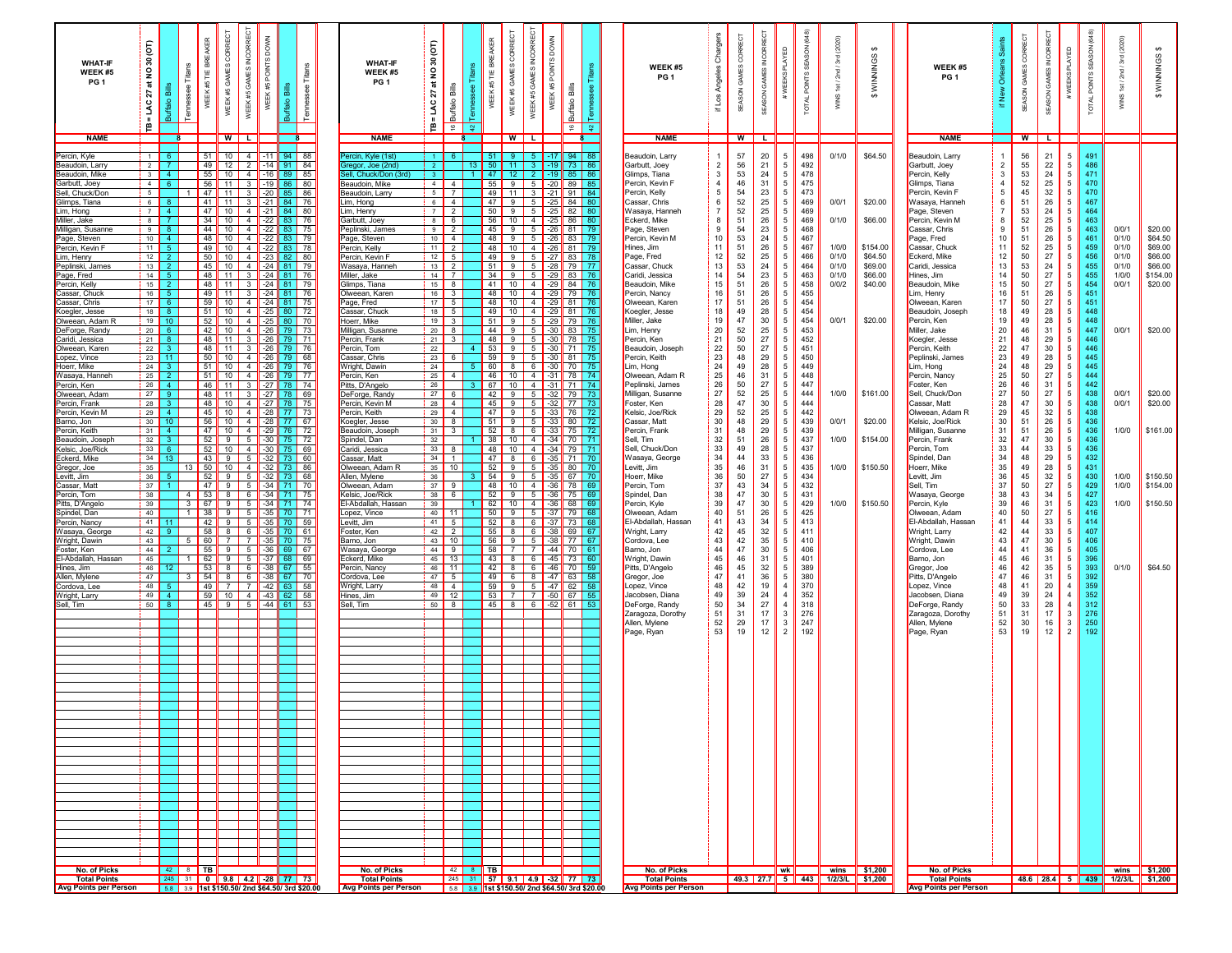| <b>WHAT-IF</b><br>WEEK #5<br>PG <sub>1</sub> | ίē<br>ន<br>ş<br>ਨ<br>27<br>LAC<br>≞ | Bills<br>읇            | Tilar<br>ssee<br><b>Tenne</b> | BREAKER<br>WEEK #5 TIE | <b>CORRECT</b><br>GAMES<br>WEEK#5                                                                            | GAMES INCORRECT<br>WEEK#5          | WEEK #5 POINTS DOWN |                             | க                                            | <b>WHAT-IF</b><br>WEEK #5<br>PG <sub>1</sub> | б<br>ន<br>$\mathsf{S}$<br>ಕ<br>Bills<br>27<br>Buffalo<br>ŠМ<br>ė<br>$\frac{6}{16}$ | $\frac{1}{2}$ | <b>BREAKER</b><br>앑<br>¥ | CORRECT<br>GAMES<br>WEEK #5 | INCORRECT<br>GAMES<br>WEEK #5      | <b>DOWN</b><br>WEEK #5 POINTS | 畵<br>Buffalo<br>$\epsilon$                                  | $\frac{1}{2}$ | WEEK #5<br>PG <sub>1</sub>           | Chargers<br>Angeles<br>if Los    | RRECT<br>GAMES COI<br>SEASON | š<br>m<br>ś<br>SEASON | <b>PLAYED</b><br>#WEEKS                 | (648)<br>SON<br><b>POINTS</b><br><b>TOTAL</b> | (2020)<br>$\frac{1}{20}$<br>S)                                | $\Theta$<br>WINNINGS | WEEK #5<br>PG <sub>1</sub>           | ō<br>ے<br>ح<br>僵    | GAMES CORRECT<br>SEASON | GAMES<br>SEASON       | <b>PLAYED</b><br>#WEEKS                 | (648)<br>SEASON<br>POINTS:<br><b>TOTAL</b> | (2020)<br>3rd<br>181/<br>WINS | WINNINGS \$                                                          |
|----------------------------------------------|-------------------------------------|-----------------------|-------------------------------|------------------------|--------------------------------------------------------------------------------------------------------------|------------------------------------|---------------------|-----------------------------|----------------------------------------------|----------------------------------------------|------------------------------------------------------------------------------------|---------------|--------------------------|-----------------------------|------------------------------------|-------------------------------|-------------------------------------------------------------|---------------|--------------------------------------|----------------------------------|------------------------------|-----------------------|-----------------------------------------|-----------------------------------------------|---------------------------------------------------------------|----------------------|--------------------------------------|---------------------|-------------------------|-----------------------|-----------------------------------------|--------------------------------------------|-------------------------------|----------------------------------------------------------------------|
| <b>NAME</b>                                  |                                     |                       |                               |                        | WIL                                                                                                          |                                    |                     |                             |                                              | <b>NAME</b>                                  |                                                                                    |               |                          |                             | WILI                               |                               |                                                             |               | <b>NAME</b>                          |                                  | W                            |                       |                                         |                                               |                                                               |                      | <b>NAME</b>                          |                     |                         | W L                   |                                         |                                            |                               |                                                                      |
| Percin, Kyle<br>Beaudoin, Larry              | $\blacksquare$<br>$\overline{2}$    |                       |                               | 51<br>49               | 10 <sup>1</sup><br>12                                                                                        | $4 \mid$                           | $-11$               | $2$ -14 91                  | $94$ 88<br>84                                | ercin, Kyle (1st)<br>regor, Joe (2nd         | 2 <sup>1</sup>                                                                     |               |                          | $13$ 50 $11$                | - 3 - 1                            |                               | $-17$ 94<br>$-19$ 73 86                                     |               | Beaudoin, Larry<br>Garbutt, Joey     | $\overline{1}$<br>$\overline{2}$ | 57<br>56                     | $20\,$<br>21          | $5\phantom{.0}$<br>$5\overline{5}$      | 498<br>492                                    | 0/1/0                                                         | \$64.50              | Beaudoin, Larry<br>Garbutt, Joey     | $\overline{2}$      | 56<br>55                | 21<br>22              | $5\phantom{.0}$<br>5                    | 491<br>486                                 |                               |                                                                      |
| Beaudoin, Mike                               | $\overline{\phantom{a}}$ 3          | $\Delta$<br>-6.       |                               | 55                     | $10$ 4 $-16$                                                                                                 |                                    |                     | -89                         | 85                                           | ell, Chuck/Don (3rd)                         | 3 <sup>1</sup>                                                                     |               | 47 I                     | 12                          | $\overline{2}$                     |                               | $-19$ 85 86                                                 |               | Glimps, Tiana<br>Percin, Kevin F     | 3<br>$\overline{4}$              | 53                           | 24<br>31              | $5\phantom{.0}$<br>$5\overline{5}$      | 478<br>475                                    |                                                               |                      | Percin, Kelly                        | 3<br>$\overline{a}$ | 53                      | 24                    | $5\phantom{.0}$<br>$5\phantom{.0}$      | 471<br>470                                 |                               |                                                                      |
| Garbutt, Joey<br>Sell, Chuck/Don             | 4<br>$5\overline{)}$                |                       |                               | 56<br>47               | $11$ 3 $-19$<br>11                                                                                           | $3$ $-20$                          |                     | 85                          | 86 80<br>86                                  | Beaudoin, Mike<br>Beaudoin, Larry            | $4 \mid 4$<br>5 <sup>1</sup><br>$\overline{7}$                                     |               | 55                       | 49 11                       | $9 \mid 5 \mid -20 \mid$           |                               | 89 85<br>$3$ -21 91                                         | 84            | Percin, Kelly                        | $5\phantom{.0}$                  | 46<br>54                     | 23                    | 5 <sup>5</sup>                          | 473                                           |                                                               |                      | Glimps, Tiana<br>Percin, Kevin F     | 5                   | 52<br>45                | 25<br>32              | 5                                       | 470                                        |                               |                                                                      |
| Glimps, Tiana<br>Lim, Hong                   | 6<br>$\overline{7}$                 | -8<br>$\overline{4}$  |                               | 41<br>47               | $11 \mid 3 \mid -21 \mid$<br>$10$ $4$ $-21$                                                                  |                                    |                     | 84                          | - 76<br>84 80                                | Lim, Hong<br>Lim, Henry                      | $\overline{4}$<br>6<br>$7 \mid 2$                                                  |               | 47                       | 9                           | $5$ $-25$<br>$50$ 9 5 $-25$        |                               | 84<br>82                                                    |               | Cassar, Chris<br>Wasaya, Hanneh      | 6<br>$\overline{7}$              | 52<br>52                     | 25<br>25              | $5\overline{5}$<br>$5\overline{5}$      | 469<br>469                                    | 0/0/1                                                         | \$20.00              | Wasaya, Hanneh<br>Page, Steven       | 6<br>$\overline{7}$ | 51<br>53                | 26<br>24              | 5<br>5                                  | 467<br>464                                 |                               |                                                                      |
| Miller, Jake<br>Milligan, Susanne            | 8<br>9                              | 8 <sup>°</sup>        |                               | 34<br>44               | 10 $4$ $-22$<br>$10 \mid 4 \mid$                                                                             |                                    | $-22$               |                             | 76<br>75                                     | Garbutt, Joey<br>Peplinski, James            | 8 <sup>1</sup><br>6<br>9<br>$\overline{2}$                                         |               | 56                       | $\overline{9}$<br>45        | $10$ 4<br>$5 \vert$                | $-25$<br>$-26$                | 86<br>81                                                    | -79           | Eckerd, Mike<br>Page, Steven         | 8<br>9                           | 51<br>54                     | 26<br>23              | 5<br>5                                  | 469<br>468                                    | 0/1/0                                                         | \$66.00              | Percin, Kevin M<br>Cassar, Chris     | 8<br>-9             | 52<br>51                | 25<br>26              | 5<br>5                                  | 463<br>463                                 | 0/0/1                         | \$20.00                                                              |
| Page, Steven<br>Percin, Kevin F              |                                     | $10$ 4<br>$11$ 5      |                               | 48                     | 10 4 22 83<br>49   10   4   -22   83                                                                         |                                    |                     |                             | 79<br>78                                     | Page, Steven<br>Percin, Kelly                | $10 \quad 4$<br>$11$ 2                                                             |               |                          | 48<br>$\overline{9}$        | $5$ $-26$<br>48 10 4 26            |                               | 83<br>81 79                                                 |               | Percin, Kevin M<br>Hines, Jim        | $10$<br>11                       | 53<br>51                     | 24<br>26              | $5\overline{5}$<br>$5\overline{5}$      | 467<br>467                                    | 1/0/0                                                         | \$154.00             | Page, Fred<br>Cassar, Chuck          | 10<br>11            | 51<br>52                | 26<br>25              | 5<br>5                                  | 461<br>459                                 | 0/1/0<br>0/1/0                | \$64.50<br>\$69.00                                                   |
| Lim, Henry<br>Peplinski, James               |                                     | $12$ 2<br>$13$ 2      |                               |                        | 50 $\parallel$ 10 $\parallel$ 4 $\parallel$ -23 $\parallel$ 82 $\parallel$ 80<br>45   10   4   -24   81   79 |                                    |                     |                             |                                              | Percin, Kevin F<br>Wasaya, Hanneh            | $12 \mid 5$<br>$13$ 2                                                              |               |                          | 49 9 9                      | $51$ 9 5 $-28$                     |                               | $5 \parallel -27 \parallel 83$<br><b>79 177</b>             |               | Page, Fred<br>Cassar, Chuck          | 12<br>13                         | 52<br>53                     | 25<br>24              | $5\overline{5}$<br>$5\overline{5}$      | 466<br>464                                    | 0/1/0<br>0/1/0                                                | \$64.50<br>\$69.00   | Eckerd, Mike<br>Caridi, Jessica      | 12<br>13            | 50<br>53                | 27<br>24              | 5<br>5                                  | 456<br>455                                 | 0/1/0<br>0/1/0                | \$66.00<br>\$66.00                                                   |
| Page, Fred<br>Percin, Kelly                  |                                     | $14$ 5<br>$15$ 2      |                               | 48 I                   | 48   11   3   -24   81   76<br>11 3 24 81 79                                                                 |                                    |                     |                             |                                              | Miller, Jake<br>Glimps, Tiana                | $14$ 7<br>$15 \quad 8$                                                             |               |                          |                             |                                    |                               | 34 9 5 $-29$ 83 76<br>41 10 4 -29 84 76                     |               | Caridi, Jessica<br>Beaudoin, Mike    | $14$<br>15                       | 54<br>51                     | 23<br>26              | $5\phantom{.0}$<br>$5\phantom{.0}$      | 463<br>458                                    | 0/1/0<br>0/0/2                                                | \$66.00<br>\$40.00   | Hines, Jim<br>Beaudoin, Mike         | 14<br>15            | 50<br>50                | 27<br>27              | $5\phantom{.0}$<br>$5\overline{5}$      | 455<br>454                                 | 1/0/0<br>0/0/1                | \$154.00<br>\$20.00                                                  |
| Cassar, Chuck<br>Cassar, Chris               | 17 <sup>1</sup>                     | $16$ 5<br>- 6 -       |                               | 49<br>59               | 11 3 24 81 76<br>10 $4$ $-24$ 81                                                                             |                                    |                     |                             | 75                                           | Olweean, Karen<br>Page, Fred                 | $\overline{16}$ 3<br>$17 \mid 5$                                                   |               |                          |                             |                                    |                               | 48 10 4 29 79 76<br>48 10 4 29 81 76                        |               | Percin, Nancy<br>Olweean, Karen      | 16<br>17                         | 51<br>51                     | 26<br>26              | $5\phantom{.0}$<br>$5\phantom{.0}$      | 455<br>454                                    |                                                               |                      | Lim, Henry<br>Olweean, Karen         | 16<br>17            | 51<br>50                | 26<br>27              | $5\phantom{.0}$<br>5                    | 451<br>451                                 |                               |                                                                      |
| Koegler, Jesse<br>Olweean, Adam R            | 18                                  | -8.<br>$19$ 10        |                               | 51<br>52               |                                                                                                              |                                    |                     | 10 $4$ $-25$ 80 72          |                                              | Cassar, Chuck<br>Hoerr, Mike                 | $18$ 5<br>$19$ 3                                                                   |               |                          |                             |                                    |                               | 49 10 4 29 81 76<br>51 9 5 -29 79 76                        |               | Koegler, Jesse<br>Miller, Jake       | 18<br>19                         | 49<br>47                     | 28<br>$30\,$          | $5\phantom{.0}$                         | 454<br>454                                    | 0/0/1                                                         | \$20.00              | Beaudoin, Joseph<br>Percin, Ken      | 18<br>19            | 49<br>49                | 28<br>28              | $5\overline{5}$<br>$5\phantom{.0}$      | 448<br>448                                 |                               |                                                                      |
| DeForge, Randy                               |                                     | $20 \quad 6$          |                               | 42                     | 10 4 -26 79 73                                                                                               |                                    |                     | 10 $4$ $-25$ 80 70          |                                              | Milligan, Susanne                            | $\overline{20}$ 8                                                                  |               |                          | $\overline{44}$   9         | 5                                  | $\vert$ -30                   | 83                                                          | 75            | Lim, Henry                           | 20                               | 52                           | 25                    | $5\overline{5}$<br>5                    | 453                                           |                                                               |                      | Miller, Jake                         | 20                  | 46                      | 31                    | 5                                       | 447                                        | 0/0/1                         | \$20.00                                                              |
| Caridi, Jessica<br>Olweean, Karen            | 21                                  | - 8<br>$22$ 3         |                               | 48<br>48               | 11<br>111                                                                                                    |                                    |                     | 3 $-26$ 79 71<br>3 26 79 76 |                                              | Percin, Frank<br>Percin, Tom                 | $21$ 3<br>22                                                                       |               | 48<br>53                 | 9                           | $5 \parallel$<br>$9 \mid 5$        | $-30$                         | $-30$ 78                                                    | -75<br>71 75  | Percin, Ken<br>Beaudoin, Joseph      | 21<br>$\frac{22}{23}$            | 50<br>50                     | 27<br>27              | $5\phantom{.0}$<br>$5\phantom{.0}$      | 452<br>451                                    |                                                               |                      | Koegler, Jesse<br>Percin, Keith      | 21<br>22            | 48<br>47                | 29<br>30              | 5<br>5                                  | 446<br>446                                 |                               |                                                                      |
| Lopez, Vince<br>Hoerr, Mike                  | 24                                  | $23$ 11               |                               | 50<br>51               | 10 <sup>1</sup><br>10 <sup>1</sup>                                                                           | $4$ -26<br>$4$ -26                 |                     |                             | 79 68<br>79 76                               | Cassar, Chris<br>/Vright, Dawin              | 23<br>6<br>24                                                                      |               | 59<br>60                 | 9<br>8 <sup>1</sup>         | 5<br>6                             | $-30$<br>$-30$                | 81<br>l 70                                                  | - 75<br>-75   | Percin, Keith<br>Lim, Hong           | 24                               | 48<br>49                     | 29<br>28              | $5\overline{5}$<br>$5\overline{5}$      | 450<br>449                                    |                                                               |                      | Peplinski, James<br>Lim, Hong        | 23<br>24            | 49<br>48                | 28<br>29              | 5<br>$5\phantom{.0}$                    | 445<br>445                                 |                               |                                                                      |
| Wasava, Hanneh<br>Percin, Ken                | 25<br>26                            | $\overline{4}$        |                               | 51<br>46               | 10 <sup>1</sup><br>11                                                                                        | $4$ -26<br>$\overline{\mathbf{3}}$ | $\vert$ -27         | 79 77                       | 78 74                                        | Percin, Ken<br>Pitts, D'Angelo               | 25<br>$\overline{4}$<br>26                                                         |               | 46<br>67                 | 10 <sup>1</sup>             | 4                                  |                               | 10 $\parallel$ 4 $\parallel$ -31 $\parallel$ 78<br>$-31$ 71 | l 74<br>-74   | Olweean, Adam R<br>Peplinski, James  | 25<br>26                         | 46<br>50                     | 31<br>27              | $5\overline{5}$<br>$5\overline{5}$      | 448<br>447                                    |                                                               |                      | Percin, Nancy<br>Foster, Ken         | 25<br>26            | 50<br>46                | 27<br>31              | $5\phantom{.0}$<br>5                    | 444<br>442                                 |                               |                                                                      |
| Olweean. Adam<br>Percin, Frank               | 27<br>28                            | -9.<br>-3.            |                               | 48<br>48               | 11<br>10 $4$ $-27$                                                                                           | $3 \mid -27$                       |                     | 78<br>78                    | 69<br>75                                     | DeForge, Randy<br>Percin, Kevin M            | $27$ 6<br>$28$ 4                                                                   |               | 42<br>45                 | 9<br>9 <sup>1</sup>         | $5 \frac{1}{2}$<br>$5 \frac{1}{2}$ |                               | $-32$ 79<br>$-32$ 77 73                                     | -73           | Milligan, Susanne<br>Foster, Ken     | 27<br>28                         | 52<br>47                     | 25<br>30              | $5\overline{5}$<br>$5\phantom{.0}$      | 444<br>444                                    | 1/0/0                                                         | \$161.00             | Sell, Chuck/Don<br>Cassar, Matt      | 27<br>28            | 50<br>47                | 27<br>30              | $5\phantom{.0}$<br>$5\phantom{.0}$      | 438<br>438                                 | 0/0/1<br>0/0/1                | \$20.00<br>\$20.00                                                   |
| Percin, Kevin M<br>armo, Jon                 | $29$ 4<br>30 <sup>°</sup>           | 10                    |                               | 45<br>56               | 10                                                                                                           | $4$ $-28$                          |                     | 10 $4$ $-28$ 77 73<br>77    | 67                                           | Percin, Keith<br>Koegler, Jesse              | $29 \mid 4$<br>$30$ $8$                                                            |               | 51                       | 47                          | $9$ 5<br>$9 \mid 5$                | $-33$                         | $-33$ 76<br>80                                              | - 72<br>72    | Kelsic, Joe/Rick<br>Cassar, Matt     | 29<br>30                         | 52<br>48                     | 25<br>29              | $5\overline{5}$<br>5 <sup>5</sup>       | 442<br>439                                    | 0/0/1                                                         | \$20.00              | Olweean, Adam R<br>Kelsic, Joe/Rick  | 29<br>30            | 45<br>51                | 32<br>26              | 5<br>$5\overline{5}$                    | 438<br>436                                 |                               |                                                                      |
| 'ercin. Keith<br>Beaudoin, Joseph            | 31<br>32                            | $\overline{4}$<br>-3- |                               | 47<br>52               | 10<br>-91                                                                                                    | $4$ $-29$<br>$5$ $-30$             |                     | 76                          | 72<br>$75$ 72                                | Beaudoin, Joseph                             | $31$ $3$<br>32                                                                     |               | 52                       | 8                           | $38$ 10 4 $-34$                    | $6 \mid -33 \mid$             | 75<br>170                                                   | 72<br>$-71$   | Percin, Frank<br>Sell, Tim           | 31                               | 48<br>51                     | 29<br>26              | $5\overline{5}$<br>$5\overline{5}$      | 439<br>437                                    | 1/0/0                                                         | \$154.00             | Milligan, Susanne<br>Percin, Frank   | 31<br>32            | 51<br>47                | 26<br>30              | $5\overline{5}$<br>$5\overline{5}$      | 436<br>436                                 | 1/0/0                         | \$161.00                                                             |
| Kelsic, Joe/Rick                             | 33                                  |                       |                               | 52                     | 10 $\vert$ 4 $\vert$ -30                                                                                     |                                    |                     | 75 69                       |                                              | Spindel, Dan<br>Caridi, Jessica              | 33<br>8                                                                            |               | 48                       | 10                          | $\vert 4 \vert$ -34                |                               | <b>79</b>                                                   | 171           | Sell. Chuck/Don                      | 32<br>$33\,$                     | 49                           | 28                    | 5 <sub>5</sub>                          | 437                                           |                                                               |                      | Percin, Tom                          | 33                  | 44                      | 33                    | 5                                       | 436                                        |                               |                                                                      |
| Eckerd, Mike<br>Gregor, Joe                  | 34<br>35                            | 13                    | 13                            | 43<br>-50              | 9<br>10 4 32 73 86                                                                                           | $5$ $-32$                          |                     | 73 60                       |                                              | Cassar, Matt<br>Olweean, Adam R              | 34<br>$\overline{1}$<br>$35$ 10                                                    |               | 47 <sup>1</sup><br>52    | 8<br>-9                     | $5 \overline{)35}$                 | $6$ 35                        | 71 70<br>80 70                                              |               | Wasava, George<br>Levitt, Jim        | $\frac{34}{35}$                  | 44<br>46                     | 33<br>31              | $5\overline{5}$<br>$5\overline{5}$      | 436<br>435                                    | 1/0/0                                                         | \$150.50             | Spindel, Dan<br>Hoerr, Mike          | 34<br>35            | 48<br>49                | 29<br>28              | 5<br>$5\overline{5}$                    | 432<br>431                                 |                               |                                                                      |
| Levitt, Jim<br>assar, Matt                   | 36<br>37                            |                       |                               | $52 \parallel$<br>47   | 9 5 32 73 68<br>9 <sup>1</sup>                                                                               |                                    |                     | $5$ $-34$ 71 70             |                                              | Allen, Mylene<br>Olweean, Adam               | 36<br>$37$ 9                                                                       |               |                          | $54$   9                    |                                    | $5 \parallel -35 \parallel$   | 67 I 70<br>48 10 4 36 78 69                                 |               | Hoerr, Mike<br>Percin, Tom           | 36<br>37                         | 50<br>43                     | 27<br>34              | $5\overline{5}$<br>$5\overline{5}$      | 434<br>432                                    |                                                               |                      | Levitt, Jim<br>Sell, Tim             | 36<br>37            | 45<br>50                | 32<br>27              | $5\overline{5}$<br>$5\phantom{.0}$      | 430<br>429                                 | 1/0/0<br>1/0/0                | \$150.50<br>\$154.00                                                 |
| Percin, Tom<br>Pitts, D'Angelo               | 38<br>39                            |                       | - 3 <b>- 1</b>                |                        | 4 53 8 6 34 71 75<br>67   9   5   -34   71   74                                                              |                                    |                     |                             |                                              | Kelsic, Joe/Rick<br>El-Abdallah, Hassan      | 38 <b>6</b><br>39                                                                  |               |                          |                             | $52$   9   5   -36                 |                               | <b>75 69</b><br>62 10 4 36 68 69                            |               | Spindel, Dan<br>Percin, Kyle         | 38<br>39                         | 47<br>47                     | 30<br>$30\,$          | $5\overline{5}$<br>$5\overline{5}$      | 431<br>429                                    | 1/0/0                                                         | \$150.50             | Wasaya, George<br>Percin, Kyle       | 38<br>39            | 43<br>46                | 34<br>31              | $5\overline{5}$<br>$5\overline{5}$      | 427<br>423                                 | 1/0/0                         | \$150.50                                                             |
| Spindel, Dan<br>Percin, Nancy                | 40                                  | $41$ 11               | 1                             | - 38                   | 9 5 35 70 71<br>42   9   5   -35   70   59                                                                   |                                    |                     |                             |                                              | Lopez, Vince<br>Levitt, Jim                  | $40$ 11<br>$41 \quad 5$                                                            |               |                          |                             |                                    |                               | 50 9 5 37 79 68<br>52 8 6 37 73 68                          |               | Olweean, Adam<br>El-Abdallah, Hassan | 40<br>41                         | 51<br>43                     | 26<br>34              | $5\overline{5}$<br>$\overline{5}$       | 425<br>413                                    |                                                               |                      | Olweean, Adam<br>El-Abdallah, Hassan | 40<br>41            | 50<br>44                | 27<br>33              | $5\overline{5}$<br>$5\overline{5}$      | 416<br>414                                 |                               |                                                                      |
| Wasaya, George<br>Wright, Dawin              | 42<br>43                            |                       | 5                             | 60 I                   | 58   8   6   -35   70   61<br>71                                                                             |                                    |                     | 7 35 70 75                  |                                              | Foster, Ken<br>Barno, Jon                    | $42 \mid 2$<br>$43$ 10                                                             |               |                          |                             |                                    |                               | $55$ 8 6 38 69 67<br>56 9 5 38 77 67                        |               | Wright, Larry<br>Cordova, Lee        | 42<br>43                         | 45<br>42                     | 32<br>35              | $\overline{5}$<br>$5\phantom{.0}$       | 411<br>410                                    |                                                               |                      | Wright, Larry<br>Wright, Dawin       | 42<br>43            | 44<br>47                | 33<br>30 <sup>°</sup> | 5<br>$5\overline{5}$                    | 407<br>406                                 |                               |                                                                      |
| Foster, Ken<br>El-Abdallah, Hassan           | 44<br>45                            |                       |                               | 55<br>62               | 9 5 36 69 67                                                                                                 |                                    |                     |                             |                                              | Wasaya, George<br>Eckerd, Mike               | $44$ 9                                                                             |               |                          |                             |                                    |                               | 58 7 7 44 70 61                                             |               | Barno, Jon<br>Wright, Dawin          | 44<br>45                         | 47<br>46                     | 30<br>31              | $5\overline{5}$<br>5                    | 406<br>401                                    |                                                               |                      | Cordova, Lee<br>Barno, Jon           | 44<br>45            | 41<br>46                | 36<br>31              | $5\overline{5}$<br>5                    | 405<br>396                                 |                               |                                                                      |
| Hines, Jim                                   | 46                                  |                       | -1.                           | 53                     | $9 \t 5 \t -37 \t 68 \t 69$<br>8 <sup>1</sup>                                                                |                                    |                     | 6 $-38$ 67 55               |                                              | Percin, Nancy                                | $45$ 13<br>46 11                                                                   |               |                          | $43$ 8<br>$42$ 8            |                                    |                               | 6 45 73 60<br>6 $-46$ 70 59                                 |               | Pitts, D'Angelo                      | 46                               | 45                           | 32                    | 5                                       | 389                                           |                                                               |                      | Gregor, Joe                          | 46                  | 42                      | 35                    | 5                                       | 393                                        | 0/1/0                         | \$64.50                                                              |
| Allen, Mylene<br><b>Cordova, Lee</b>         | 47<br>48                            |                       | $\mathbf{3}$                  | 54<br>49               | 8 6 38 67 70<br>- 7 - I                                                                                      | $\overline{7}$                     |                     | $-42$ 63 58                 |                                              | Cordova, Lee<br>Wright, Larry                | $47 \quad 5$<br>$48$ 4                                                             |               | 59                       | -91                         |                                    | $5$ $-47$                     | 49 6 8 47 63 58<br>62 58                                    |               | Gregor, Joe<br>Lopez, Vince          | 47<br>48                         | 41<br>42                     | 36<br>19              | $5\overline{5}$<br>$\overline{4}$       | 380<br>370                                    |                                                               |                      | Pitts, D'Angelo<br>Lopez, Vince      | 47<br>48            | 46<br>41                | 31<br>20              | 5<br>$\overline{4}$                     | 392<br>359                                 |                               |                                                                      |
| Wright, Larry<br>Sell, Tim                   | 49<br>50                            | 4 <sup>1</sup>        |                               | 59<br>45               | 10   4   $-43$  <br>I9I                                                                                      |                                    |                     | 62   58<br>$5$ 44 61 53     |                                              | Hines, Jim<br>Sell, Tim                      | $49$ 12<br>$50$ 8                                                                  |               | 53 <sup>1</sup>          |                             | 7 7 50                             |                               | 67 55<br>45 8 6 52 61 53                                    |               | Jacobsen, Diana<br>DeForge, Randy    | 49<br>50                         | 39<br>34                     | 24<br>27              | $\overline{4}$<br>$\overline{4}$        | 352<br>318                                    |                                                               |                      | Jacobsen, Diana<br>DeForge, Randy    | 49<br>50            | 39<br>33                | 24<br>28              | $\overline{4}$<br>$\overline{4}$        | 352<br>312                                 |                               |                                                                      |
|                                              |                                     |                       |                               |                        |                                                                                                              |                                    |                     |                             |                                              |                                              |                                                                                    |               |                          |                             |                                    |                               |                                                             |               | Zaragoza, Dorothy<br>Allen, Mylene   | 51<br>52                         | 31<br>29                     | 17<br>17              | $\mathbf{3}$<br>$\overline{\mathbf{3}}$ | 276<br>247                                    |                                                               |                      | Zaragoza, Dorothy<br>Allen, Mylene   | 51<br>52            | 31<br>30                | 17<br>16              | $\overline{\mathbf{3}}$<br>$\mathbf{3}$ | 276<br>250                                 |                               |                                                                      |
|                                              |                                     |                       |                               |                        |                                                                                                              |                                    |                     |                             |                                              |                                              |                                                                                    |               |                          |                             |                                    |                               |                                                             |               | Page, Ryan                           | 53                               | 19                           | 12                    | 2                                       | 192                                           |                                                               |                      | Page, Ryan                           | 53                  | 19                      | 12                    | $\overline{2}$                          | 192                                        |                               |                                                                      |
|                                              |                                     |                       |                               |                        |                                                                                                              |                                    |                     |                             |                                              |                                              |                                                                                    |               |                          |                             |                                    |                               |                                                             |               |                                      |                                  |                              |                       |                                         |                                               |                                                               |                      |                                      |                     |                         |                       |                                         |                                            |                               |                                                                      |
|                                              |                                     |                       |                               |                        |                                                                                                              |                                    |                     |                             |                                              |                                              |                                                                                    |               |                          |                             |                                    |                               |                                                             |               |                                      |                                  |                              |                       |                                         |                                               |                                                               |                      |                                      |                     |                         |                       |                                         |                                            |                               |                                                                      |
|                                              |                                     |                       |                               |                        |                                                                                                              |                                    |                     |                             |                                              |                                              |                                                                                    |               |                          |                             |                                    |                               |                                                             |               |                                      |                                  |                              |                       |                                         |                                               |                                                               |                      |                                      |                     |                         |                       |                                         |                                            |                               |                                                                      |
|                                              |                                     |                       |                               |                        |                                                                                                              |                                    |                     |                             |                                              |                                              |                                                                                    |               |                          |                             |                                    |                               |                                                             |               |                                      |                                  |                              |                       |                                         |                                               |                                                               |                      |                                      |                     |                         |                       |                                         |                                            |                               |                                                                      |
|                                              |                                     |                       |                               |                        |                                                                                                              |                                    |                     |                             |                                              |                                              |                                                                                    |               |                          |                             |                                    |                               |                                                             |               |                                      |                                  |                              |                       |                                         |                                               |                                                               |                      |                                      |                     |                         |                       |                                         |                                            |                               |                                                                      |
|                                              |                                     |                       |                               |                        |                                                                                                              |                                    |                     |                             |                                              |                                              |                                                                                    |               |                          |                             |                                    |                               |                                                             |               |                                      |                                  |                              |                       |                                         |                                               |                                                               |                      |                                      |                     |                         |                       |                                         |                                            |                               |                                                                      |
|                                              |                                     |                       |                               |                        |                                                                                                              |                                    |                     |                             |                                              |                                              |                                                                                    |               |                          |                             |                                    |                               |                                                             |               |                                      |                                  |                              |                       |                                         |                                               |                                                               |                      |                                      |                     |                         |                       |                                         |                                            |                               |                                                                      |
|                                              |                                     |                       |                               |                        |                                                                                                              |                                    |                     |                             |                                              |                                              |                                                                                    |               |                          |                             |                                    |                               |                                                             |               |                                      |                                  |                              |                       |                                         |                                               |                                                               |                      |                                      |                     |                         |                       |                                         |                                            |                               |                                                                      |
|                                              |                                     |                       |                               |                        |                                                                                                              |                                    |                     |                             |                                              |                                              |                                                                                    |               |                          |                             |                                    |                               |                                                             |               |                                      |                                  |                              |                       |                                         |                                               |                                                               |                      |                                      |                     |                         |                       |                                         |                                            |                               |                                                                      |
|                                              |                                     |                       |                               |                        |                                                                                                              |                                    |                     |                             |                                              |                                              |                                                                                    |               |                          |                             |                                    |                               |                                                             |               |                                      |                                  |                              |                       |                                         |                                               |                                                               |                      |                                      |                     |                         |                       |                                         |                                            |                               |                                                                      |
|                                              |                                     |                       |                               |                        |                                                                                                              |                                    |                     |                             |                                              |                                              |                                                                                    |               |                          |                             |                                    |                               |                                                             |               |                                      |                                  |                              |                       |                                         |                                               |                                                               |                      |                                      |                     |                         |                       |                                         |                                            |                               |                                                                      |
|                                              |                                     |                       |                               |                        |                                                                                                              |                                    |                     |                             |                                              |                                              |                                                                                    |               |                          |                             |                                    |                               |                                                             |               |                                      |                                  |                              |                       |                                         |                                               |                                                               |                      |                                      |                     |                         |                       |                                         |                                            |                               |                                                                      |
|                                              |                                     |                       |                               |                        |                                                                                                              |                                    |                     |                             |                                              |                                              |                                                                                    |               |                          |                             |                                    |                               |                                                             |               |                                      |                                  |                              |                       |                                         |                                               |                                                               |                      |                                      |                     |                         |                       |                                         |                                            |                               |                                                                      |
| No. of Picks<br><b>Total Points</b>          |                                     |                       | $42$ 8 TB                     |                        | 245 31 0 9.8 4.2 -28 77 73                                                                                   |                                    |                     |                             |                                              | No. of Picks<br><b>Total Points</b>          |                                                                                    |               | 42 8 TB                  |                             |                                    |                               | 245 31 57 9.1 4.9 32 77 73                                  |               | No. of Picks<br><b>Total Points</b>  |                                  |                              |                       | wk                                      |                                               | wins $\frac{1}{2}$ \$1,200<br>49.3 27.7 5 443 1/2/3/L \$1,200 |                      | No. of Picks<br><b>Total Points</b>  |                     |                         |                       |                                         |                                            |                               | wins $\sqrt{\phantom{a}}$ \$1,200<br>48.6 28.4 5 439 1/2/3/L \$1,200 |
| <b>Avg Points per Person</b>                 |                                     |                       |                               |                        |                                                                                                              |                                    |                     |                             | 5.8 3.9 1st \$150.50/2nd \$64.50/3rd \$20.00 | <b>Avg Points per Person</b>                 |                                                                                    |               |                          |                             |                                    |                               | 5.8 3.9 1st \$150.50/2nd \$64.50/3rd \$20.00                |               | <b>Avg Points per Person</b>         |                                  |                              |                       |                                         |                                               |                                                               |                      | <b>Avg Points per Person</b>         |                     |                         |                       |                                         |                                            |                               |                                                                      |